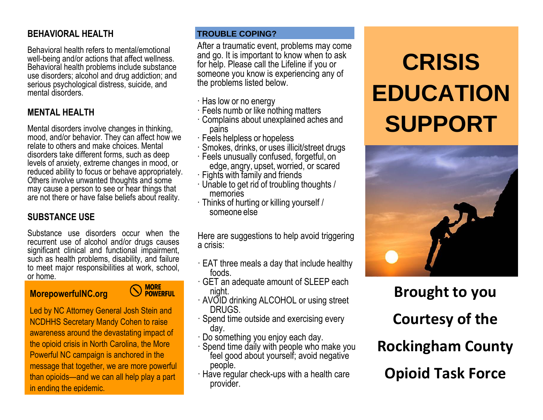# **BEHAVIORAL HEALTH**

Behavioral health refers to mental/emotional well-being and/or actions that affect wellness. Behavioral health problems include substance use disorders; alcohol and drug addiction; and serious psychological distress, suicide, and mental disorders.

# **MENTAL HEALTH**

Mental disorders involve changes in thinking, mood, and/or behavior. They can affect how we relate to others and make choices. Mental disorders take different forms, such as deep levels of anxiety, extreme changes in mood, or reduced ability to focus or behave appropriately. Others involve unwanted thoughts and some may cause a person to see or hear things that are not there or have false beliefs about reality.

# **SUBSTANCE USE**

Substance use disorders occur when the recurrent use of alcohol and/or drugs causes significant clinical and functional impairment, such as health problems, disability, and failure to meet major responsibilities at work, school, or home.

## **MorepowerfulNC.org**

**MORE<br>POWERFUL** 

Led by NC Attorney General Josh Stein and NCDHHS Secretary Mandy Cohen to raise awareness around the devastating impact of the opioid crisis in North Carolina, the More Powerful NC campaign is anchored in the message that together, we are more powerful than opioids—and we can all help play a part in ending the epidemic.

#### **TROUBLE COPING?**

After a traumatic event, problems may come and go. It is important to know when to ask for help. Please call the Lifeline if you or someone you know is experiencing any of the problems listed below.

- · Has low or no energy
- · Feels numb or like nothing matters
- · Complains about unexplained aches and pains
- · Feels helpless or hopeless
- · Smokes, drinks, or uses illicit/street drugs
- · Feels unusually confused, forgetful, on edge, angry, upset, worried, or scared
- · Fights with family and friends
- · Unable to get rid of troubling thoughts / memories
- · Thinks of hurting or killing yourself / someone else

Here are suggestions to help avoid triggering a crisis:

- $\cdot$  EAT three meals a day that include healthy foods.
- · GET an adequate amount of SLEEP each night.
- · AVOID drinking ALCOHOL or using street DRUGS.
- · Spend time outside and exercising every day.
- · Do something you enjoy each day.
- · Spend time daily with people who make you feel good about yourself; avoid negative people.
- · Have regular check-ups with a health care provider.

# **CRISIS EDUCATION SUPPORT**



**Brought to you Courtesy of the Rockingham County Opioid Task Force**